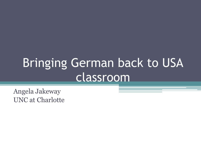# Bringing German back to USA classroom

Angela Jakeway UNC at Charlotte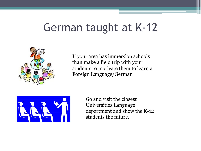### German taught at K-12



If your area has immersion schools than make a field trip with your students to motivate them to learn a Foreign Language/German



Go and visit the closest Universities Language department and show the K-12 students the future.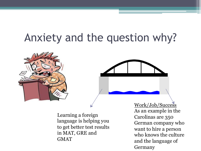## Anxiety and the question why?



Learning a foreign language is helping you to get better test results in MAT, GRE and **GMAT** 

Work/Job/Success As an example in the Carolinas are 350 German company who want to hire a person who knows the culture and the language of Germany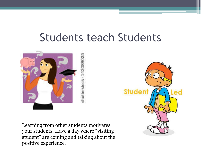#### Students teach Students



Learning from other students motivates your students. Have a day where "visiting student" are coming and talking about the positive experience.

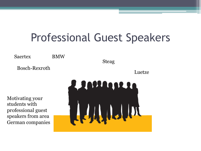## Professional Guest Speakers

Saertex BMW

Bosch-Rexroth

Steag

Luetze

Motivating your students with professional guest speakers from area German companies

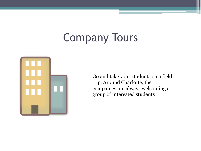## Company Tours



Go and take your students on a field trip. Around Charlotte, the companies are always welcoming a group of interested students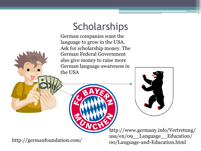#### **Scholarships**

German companies want the language to grow in the USA. Ask for scholarship money. The German Federal Government also give money to raise more German language awareness in the USA



http://germanfoundation.com/

http://www.germany.info/Vertretung/ usa/en/09\_\_Language\_\_Education/ 00/Language-and-Education.html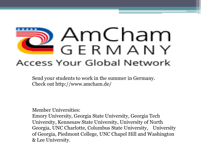# AmCham GERMANY Access Your Global Network

Send your students to work in the summer in Germany. Check out http://www.amcham.de/

Member Universities:

Emory University, Georgia State University, Georgia Tech University, Kennesaw State University, University of North Georgia, UNC Charlotte, Columbus State University, University of Georgia, Piedmont College, UNC Chapel Hill and Washington & Lee University.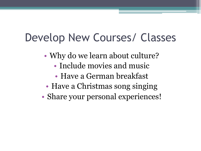## Develop New Courses/ Classes

- Why do we learn about culture?
	- Include movies and music
	- Have a German breakfast
- Have a Christmas song singing
- Share your personal experiences!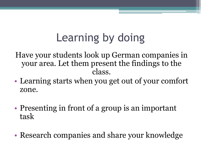# Learning by doing

Have your students look up German companies in your area. Let them present the findings to the class.

- Learning starts when you get out of your comfort zone.
- Presenting in front of a group is an important task
- Research companies and share your knowledge